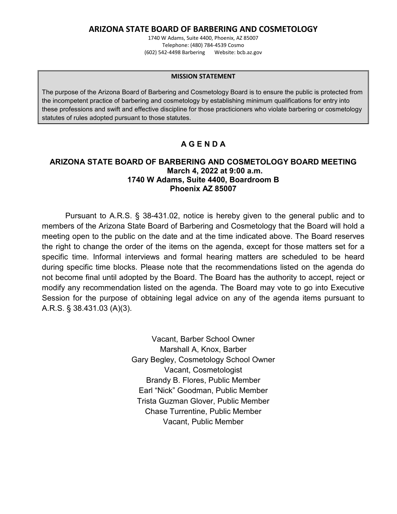### **ARIZONA STATE BOARD OF BARBERING AND COSMETOLOGY**

1740 W Adams, Suite 4400, Phoenix, AZ 85007 Telephone: (480) 784-4539 Cosmo (602) 542-4498 Barbering Website: bcb.az.gov

#### **MISSION STATEMENT**

The purpose of the Arizona Board of Barbering and Cosmetology Board is to ensure the public is protected from the incompetent practice of barbering and cosmetology by establishing minimum qualifications for entry into these professions and swift and effective discipline for those practicioners who violate barbering or cosmetology statutes of rules adopted pursuant to those statutes.

# **A G E N D A**

#### **ARIZONA STATE BOARD OF BARBERING AND COSMETOLOGY BOARD MEETING March 4, 2022 at 9:00 a.m. 1740 W Adams, Suite 4400, Boardroom B Phoenix AZ 85007**

Pursuant to A.R.S. § 38-431.02, notice is hereby given to the general public and to members of the Arizona State Board of Barbering and Cosmetology that the Board will hold a meeting open to the public on the date and at the time indicated above. The Board reserves the right to change the order of the items on the agenda, except for those matters set for a specific time. Informal interviews and formal hearing matters are scheduled to be heard during specific time blocks. Please note that the recommendations listed on the agenda do not become final until adopted by the Board. The Board has the authority to accept, reject or modify any recommendation listed on the agenda. The Board may vote to go into Executive Session for the purpose of obtaining legal advice on any of the agenda items pursuant to A.R.S. § 38.431.03 (A)(3).

> Vacant, Barber School Owner Marshall A, Knox, Barber Gary Begley, Cosmetology School Owner Vacant, Cosmetologist Brandy B. Flores, Public Member Earl "Nick" Goodman, Public Member Trista Guzman Glover, Public Member Chase Turrentine, Public Member Vacant, Public Member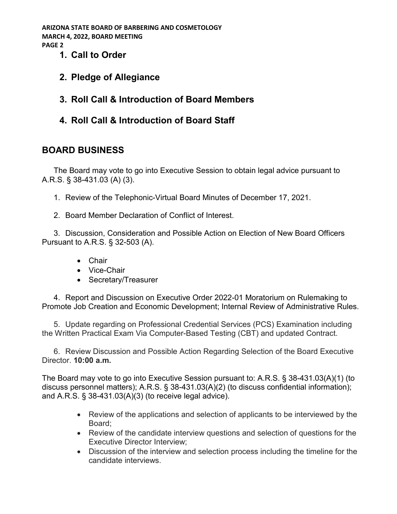- **1. Call to Order**
- **2. Pledge of Allegiance**
- **3. Roll Call & Introduction of Board Members**
- **4. Roll Call & Introduction of Board Staff**

# **BOARD BUSINESS**

The Board may vote to go into Executive Session to obtain legal advice pursuant to A.R.S. § 38-431.03 (A) (3).

- 1. Review of the Telephonic-Virtual Board Minutes of December 17, 2021.
- 2. Board Member Declaration of Conflict of Interest.

3. Discussion, Consideration and Possible Action on Election of New Board Officers Pursuant to A.R.S. § 32-503 (A).

- Chair
- Vice-Chair
- Secretary/Treasurer

4. Report and Discussion on Executive Order 2022-01 Moratorium on Rulemaking to Promote Job Creation and Economic Development; Internal Review of Administrative Rules.

5. Update regarding on Professional Credential Services (PCS) Examination including the Written Practical Exam Via Computer-Based Testing (CBT) and updated Contract.

6. Review Discussion and Possible Action Regarding Selection of the Board Executive Director. **10:00 a.m.**

The Board may vote to go into Executive Session pursuant to: A.R.S. § 38-431.03(A)(1) (to discuss personnel matters); A.R.S. § 38-431.03(A)(2) (to discuss confidential information); and A.R.S. § 38-431.03(A)(3) (to receive legal advice).

- Review of the applications and selection of applicants to be interviewed by the Board;
- Review of the candidate interview questions and selection of questions for the Executive Director Interview;
- Discussion of the interview and selection process including the timeline for the candidate interviews.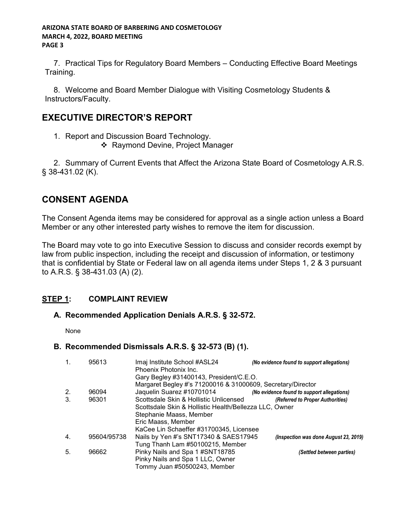7. Practical Tips for Regulatory Board Members – Conducting Effective Board Meetings Training.

8. Welcome and Board Member Dialogue with Visiting Cosmetology Students & Instructors/Faculty.

# **EXECUTIVE DIRECTOR'S REPORT**

1. Report and Discussion Board Technology.

❖ Raymond Devine, Project Manager

2. Summary of Current Events that Affect the Arizona State Board of Cosmetology A.R.S. § 38-431.02 (K).

# **CONSENT AGENDA**

The Consent Agenda items may be considered for approval as a single action unless a Board Member or any other interested party wishes to remove the item for discussion.

The Board may vote to go into Executive Session to discuss and consider records exempt by law from public inspection, including the receipt and discussion of information, or testimony that is confidential by State or Federal law on all agenda items under Steps 1, 2 & 3 pursuant to A.R.S. § 38-431.03 (A) (2).

# **STEP 1: COMPLAINT REVIEW**

## **A. Recommended Application Denials A.R.S. § 32-572.**

None

## **B. Recommended Dismissals A.R.S. § 32-573 (B) (1).**

|    | 95613       | Imaj Institute School #ASL24<br>Phoenix Photonix Inc.       | (No evidence found to support allegations) |
|----|-------------|-------------------------------------------------------------|--------------------------------------------|
|    |             | Gary Begley #31400143, President/C.E.O.                     |                                            |
|    |             | Margaret Begley #'s 71200016 & 31000609, Secretary/Director |                                            |
| 2. | 96094       | Jaquelin Suarez #10701014                                   | (No evidence found to support allegations) |
| 3. | 96301       | Scottsdale Skin & Hollistic Unlicensed                      | (Referred to Proper Authorities)           |
|    |             | Scottsdale Skin & Hollistic Health/Bellezza LLC, Owner      |                                            |
|    |             | Stephanie Maass, Member                                     |                                            |
|    |             | Eric Maass, Member                                          |                                            |
|    |             | KaCee Lin Schaeffer #31700345, Licensee                     |                                            |
| 4. | 95604/95738 | Nails by Yen #'s SNT17340 & SAES17945                       | (Inspection was done August 23, 2019)      |
|    |             | Tung Thanh Lam #50100215, Member                            |                                            |
| 5. | 96662       | Pinky Nails and Spa 1 #SNT18785                             | (Settled between parties)                  |
|    |             | Pinky Nails and Spa 1 LLC, Owner                            |                                            |
|    |             | Tommy Juan #50500243, Member                                |                                            |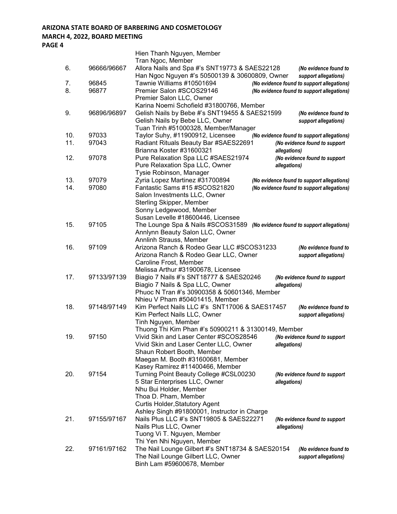|     |             | Hien Thanh Nguyen, Member                                                       |
|-----|-------------|---------------------------------------------------------------------------------|
|     |             | Tran Ngoc, Member                                                               |
| 6.  | 96666/96667 | Allora Nails and Spa #'s SNT19773 & SAES22128<br>(No evidence found to          |
|     |             | Han Ngoc Nguyen #'s 50500139 & 30600809, Owner<br>support allegations)          |
| 7.  | 96845       | Tawnie Williams #10501694<br>(No evidence found to support allegations)         |
| 8.  | 96877       | Premier Salon #SCOS29146<br>(No evidence found to support allegations)          |
|     |             | Premier Salon LLC, Owner                                                        |
|     |             | Karina Noemi Schofield #31800766, Member                                        |
| 9.  | 96896/96897 | Gelish Nails by Bebe #'s SNT19455 & SAES21599<br>(No evidence found to          |
|     |             | Gelish Nails by Bebe LLC, Owner<br>support allegations)                         |
|     |             | Tuan Trinh #51000328, Member/Manager                                            |
| 10. | 97033       | Taylor Suhy, #11900912, Licensee<br>(No evidence found to support allegations)  |
| 11. | 97043       | Radiant Rituals Beauty Bar #SAES22691<br>(No evidence found to support          |
|     |             | Brianna Koster #31600321<br>allegations)                                        |
| 12. | 97078       | Pure Relaxation Spa LLC #SAES21974<br>(No evidence found to support             |
|     |             | Pure Relaxation Spa LLC, Owner<br>allegations)                                  |
|     |             | Tysie Robinson, Manager                                                         |
| 13. | 97079       | Zyria Lopez Martinez #31700894<br>(No evidence found to support allegations)    |
| 14. | 97080       | Fantastic Sams #15 #SCOS21820<br>(No evidence found to support allegations)     |
|     |             | Salon Investments LLC, Owner                                                    |
|     |             | <b>Sterling Skipper, Member</b>                                                 |
|     |             | Sonny Ledgewood, Member                                                         |
|     |             | Susan Levelle #18600446, Licensee                                               |
| 15. | 97105       | The Lounge Spa & Nails #SCOS31589<br>(No evidence found to support allegations) |
|     |             | Annlynn Beauty Salon LLC, Owner                                                 |
|     |             | Annlinh Strauss, Member                                                         |
| 16. | 97109       | Arizona Ranch & Rodeo Gear LLC #SCOS31233<br>(No evidence found to              |
|     |             | Arizona Ranch & Rodeo Gear LLC, Owner<br>support allegations)                   |
|     |             | Caroline Frost, Member                                                          |
|     |             | Melissa Arthur #31900678, Licensee                                              |
| 17. | 97133/97139 | Biagio 7 Nails #'s SNT18777 & SAES20246<br>(No evidence found to support        |
|     |             | Biagio 7 Nails & Spa LLC, Owner<br>allegations)                                 |
|     |             | Phuoc N Tran #'s 30900358 & 50601346, Member                                    |
|     |             | Nhieu V Pham #50401415, Member                                                  |
| 18. | 97148/97149 | Kim Perfect Nails LLC #'s SNT17006 & SAES17457<br>(No evidence found to         |
|     |             | Kim Perfect Nails LLC, Owner<br>support allegations)                            |
|     |             | Tinh Nguyen, Member                                                             |
|     |             | Thuong Thi Kim Phan #'s 50900211 & 31300149, Member                             |
| 19. | 97150       | Vivid Skin and Laser Center #SCOS28546<br>(No evidence found to support         |
|     |             | Vivid Skin and Laser Center LLC, Owner<br>allegations)                          |
|     |             | Shaun Robert Booth, Member                                                      |
|     |             | Maegan M. Booth #31600681, Member                                               |
|     |             | Kasey Ramirez #11400466, Member                                                 |
| 20. | 97154       | Turning Point Beauty College #CSL00230<br>(No evidence found to support         |
|     |             | 5 Star Enterprises LLC, Owner<br>allegations)                                   |
|     |             | Nhu Bui Holder, Member                                                          |
|     |             | Thoa D. Pham, Member                                                            |
|     |             | <b>Curtis Holder, Statutory Agent</b>                                           |
|     |             | Ashley Singh #91800001, Instructor in Charge                                    |
| 21. | 97155/97167 | Nails Plus LLC #'s SNT19805 & SAES22271<br>(No evidence found to support        |
|     |             | Nails Plus LLC, Owner<br>allegations)                                           |
|     |             | Tuong Vi T. Nguyen, Member                                                      |
|     |             | Thi Yen Nhi Nguyen, Member                                                      |
| 22. | 97161/97162 | The Nail Lounge Gilbert #'s SNT18734 & SAES20154<br>(No evidence found to       |
|     |             | The Nail Lounge Gilbert LLC, Owner<br>support allegations)                      |
|     |             | Binh Lam #59600678, Member                                                      |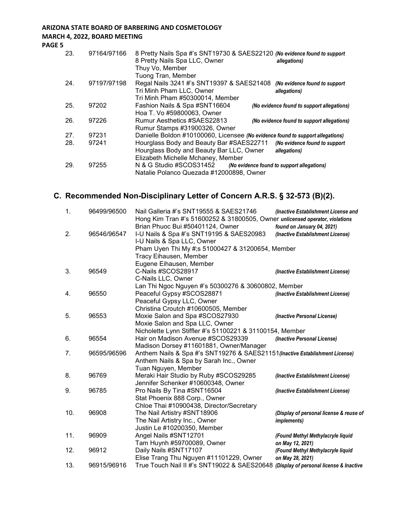# **ARIZONA STATE BOARD OF BARBERING AND COSMETOLOGY**

#### **MARCH 4, 2022, BOARD MEETING**

**PAGE 5**

| 23. | 97164/97166 | 8 Pretty Nails Spa #'s SNT19730 & SAES22120 (No evidence found to support<br>8 Pretty Nails Spa LLC, Owner<br>allegations) |
|-----|-------------|----------------------------------------------------------------------------------------------------------------------------|
|     |             | Thuy Vo, Member                                                                                                            |
|     |             | Tuong Tran, Member                                                                                                         |
| 24. | 97197/97198 | Regal Nails 3241 #'s SNT19397 & SAES21408<br>(No evidence found to support                                                 |
|     |             | Tri Minh Pham LLC, Owner<br>allegations)                                                                                   |
|     |             | Tri Minh Pham #50300014, Member                                                                                            |
| 25. | 97202       | Fashion Nails & Spa #SNT16604<br>(No evidence found to support allegations)                                                |
|     |             | Hoa T. Vo #59800063, Owner                                                                                                 |
| 26. | 97226       | Rumur Aesthetics #SAES22813<br>(No evidence found to support allegations)                                                  |
|     |             | Rumur Stamps #31900326, Owner                                                                                              |
| 27. | 97231       | Danielle Boldon #10100060, Licensee (No evidence found to support allegations)                                             |
| 28. | 97241       | Hourglass Body and Beauty Bar #SAES22711<br>(No evidence found to support                                                  |
|     |             | Hourglass Body and Beauty Bar LLC, Owner<br>allegations)                                                                   |
|     |             | Elizabeth Michelle Mchaney, Member                                                                                         |
| 29. | 97255       | N & G Studio #SCOS31452<br>(No evidence found to support allegations)                                                      |
|     |             | Natalie Polanco Quezada #12000898, Owner                                                                                   |

# **C. Recommended Non-Disciplinary Letter of Concern A.R.S. § 32-573 (B)(2).**

| 1.  | 96499/96500 | Nail Galleria #'s SNT19555 & SAES21746                                       | (Inactive Establishment License and     |
|-----|-------------|------------------------------------------------------------------------------|-----------------------------------------|
|     |             | Hong Kim Tran #'s 51600252 & 31800505, Owner unlicensed operator, violations |                                         |
| 2.  | 96546/96547 | Brian Phuoc Bui #50401124, Owner                                             | found on January 04, 2021)              |
|     |             | I-U Nails & Spa #'s SNT19195 & SAES20983                                     | (Inactive Establishment License)        |
|     |             | I-U Nails & Spa LLC, Owner                                                   |                                         |
|     |             | Pham Uyen Thi My #;s 51000427 & 31200654, Member                             |                                         |
|     |             | Tracy Eihausen, Member                                                       |                                         |
|     |             | Eugene Eihausen, Member                                                      |                                         |
| 3.  | 96549       | C-Nails #SCOS28917                                                           | (Inactive Establishment License)        |
|     |             | C-Nails LLC, Owner                                                           |                                         |
|     |             | Lan Thi Ngoc Nguyen #'s 50300276 & 30600802, Member                          |                                         |
| 4.  | 96550       | Peaceful Gypsy #SCOS28871                                                    | (Inactive Establishment License)        |
|     |             | Peaceful Gypsy LLC, Owner                                                    |                                         |
|     |             | Christina Croutch #10600505, Member                                          |                                         |
| 5.  | 96553       | Moxie Salon and Spa #SCOS27930                                               | (Inactive Personal License)             |
|     |             | Moxie Salon and Spa LLC, Owner                                               |                                         |
|     |             | Nicholette Lynn Stiffler #'s 51100221 & 31100154, Member                     |                                         |
| 6.  | 96554       | Hair on Madison Avenue #SCOS29339                                            | (Inactive Personal License)             |
|     |             | Madison Dorsey #11601881, Owner/Manager                                      |                                         |
| 7.  | 96595/96596 | Anthem Nails & Spa #'s SNT19276 & SAES21151 (Inactive Establishment License) |                                         |
|     |             | Anthem Nails & Spa by Sarah Inc., Owner                                      |                                         |
|     |             | Tuan Nguyen, Member                                                          |                                         |
| 8.  | 96769       | Meraki Hair Studio by Ruby #SCOS29285                                        | (Inactive Establishment License)        |
|     |             | Jennifer Schenker #10600348, Owner                                           |                                         |
| 9.  | 96785       | Pro Nails By Tina #SNT16504                                                  | (Inactive Establishment License)        |
|     |             | Stat Phoenix 888 Corp., Owner                                                |                                         |
|     |             | Chloe Thai #10900438, Director/Secretary                                     |                                         |
| 10. | 96908       | The Nail Artistry #SNT18906                                                  | (Display of personal license & reuse of |
|     |             | The Nail Artistry Inc., Owner                                                | <i>implements)</i>                      |
|     |             | Justin Le #10200350, Member                                                  |                                         |
| 11. | 96909       | Angel Nails #SNT12701                                                        | (Found Methyl Methylacryle liquid       |
|     |             | Tam Huynh #59700089, Owner                                                   | on May 12, 2021)                        |
| 12. | 96912       | Daily Nails #SNT17107                                                        | (Found Methyl Methylacryle liquid       |
|     |             | Elise Trang Thu Nguyen #11101229, Owner                                      | on May 28, 2021)                        |
| 13. | 96915/96916 | True Touch Nail II #'s SNT19022 & SAES20648                                  | (Display of personal license & Inactive |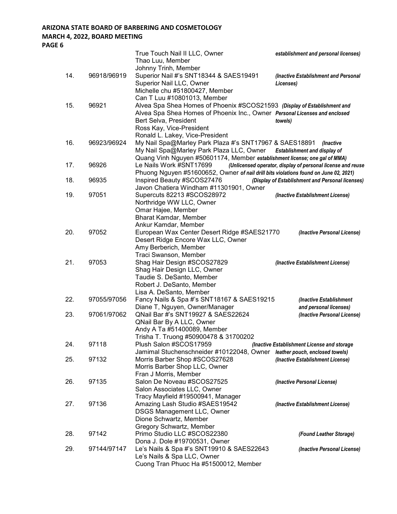## **ARIZONA STATE BOARD OF BARBERING AND COSMETOLOGY**

## **MARCH 4, 2022, BOARD MEETING**

|     |             | True Touch Nail II LLC, Owner<br>Thao Luu, Member<br>Johnny Trinh, Member                                                                                                                     | establishment and personal licenses)                        |
|-----|-------------|-----------------------------------------------------------------------------------------------------------------------------------------------------------------------------------------------|-------------------------------------------------------------|
| 14. | 96918/96919 | Superior Nail #'s SNT18344 & SAES19491<br>Superior Nail LLC, Owner<br>Michelle chu #51800427, Member                                                                                          | (Inactive Establishment and Personal<br>Licenses)           |
| 15. | 96921       | Can T Luu #10801013, Member<br>Alvea Spa Shea Homes of Phoenix #SCOS21593 (Display of Establishment and                                                                                       |                                                             |
|     |             | Alvea Spa Shea Homes of Phoenix Inc., Owner Personal Licenses and enclosed<br>Bert Selva, President<br>Ross Kay, Vice-President                                                               | towels)                                                     |
| 16. | 96923/96924 | Ronald L. Lakey, Vice-President<br>My Nail Spa@Marley Park Plaza #'s SNT17967 & SAES18891<br>My Nail Spa@Marley Park Plaza LLC, Owner                                                         | (Inactive<br><b>Establishment and display of</b>            |
| 17. | 96926       | Quang Vinh Nguyen #50601174, Member establishment license; one gal of MMA)<br>Le Nails Work #SNT17699<br>Phuong Nguyen #51600652, Owner of nail drill bits violations found on June 02, 2021) | (Unlicensed operator, display of personal license and reuse |
| 18. | 96935       | Inspired Beauty #SCOS27476<br>Javon Chatiera Windham #11301901, Owner                                                                                                                         | (Display of Establishment and Personal licenses)            |
| 19. | 97051       | Supercuts 82213 #SCOS28972<br>Northridge WW LLC, Owner<br>Omar Hajee, Member                                                                                                                  | (Inactive Establishment License)                            |
|     |             | Bharat Kamdar, Member<br>Ankur Kamdar, Member                                                                                                                                                 |                                                             |
| 20. | 97052       | European Wax Center Desert Ridge #SAES21770<br>Desert Ridge Encore Wax LLC, Owner<br>Amy Berberich, Member<br>Traci Swanson, Member                                                           | (Inactive Personal License)                                 |
| 21. | 97053       | Shag Hair Design #SCOS27829<br>Shag Hair Design LLC, Owner<br>Taudie S. DeSanto, Member<br>Robert J. DeSanto, Member                                                                          | (Inactive Establishment License)                            |
| 22. | 97055/97056 | Lisa A. DeSanto, Member<br>Fancy Nails & Spa #'s SNT18167 & SAES19215                                                                                                                         | (Inactive Establishment                                     |
| 23. | 97061/97062 | Diane T, Nguyen, Owner/Manager<br>QNail Bar #'s SNT19927 & SAES22624<br>QNail Bar By A LLC, Owner<br>Andy A Ta #51400089, Member                                                              | and personal licenses)<br>(Inactive Personal License)       |
| 24. | 97118       | Trisha T. Truong #50900478 & 31700202<br>Plush Salon #SCOS17959<br>Jamimal Stuchenschneider #10122048, Owner leather pouch, enclosed towels)                                                  | (Inactive Establishment License and storage                 |
| 25. | 97132       | Morris Barber Shop #SCOS27628<br>Morris Barber Shop LLC, Owner                                                                                                                                | (Inactive Establishment License)                            |
| 26. | 97135       | Fran J Morris, Member<br>Salon De Noveau #SCOS27525<br>Salon Associates LLC, Owner                                                                                                            | (Inactive Personal License)                                 |
| 27. | 97136       | Tracy Mayfield #19500941, Manager<br>Amazing Lash Studio #SAES19542<br><b>DSGS Management LLC, Owner</b><br>Dione Schwartz, Member                                                            | (Inactive Establishment License)                            |
| 28. | 97142       | Gregory Schwartz, Member<br>Primo Studio LLC #SCOS22380                                                                                                                                       | (Found Leather Storage)                                     |
| 29. | 97144/97147 | Dona J. Dole #19700531, Owner<br>Le's Nails & Spa #'s SNT19910 & SAES22643<br>Le's Nails & Spa LLC, Owner<br>Cuong Tran Phuoc Ha #51500012, Member                                            | (Inactive Personal License)                                 |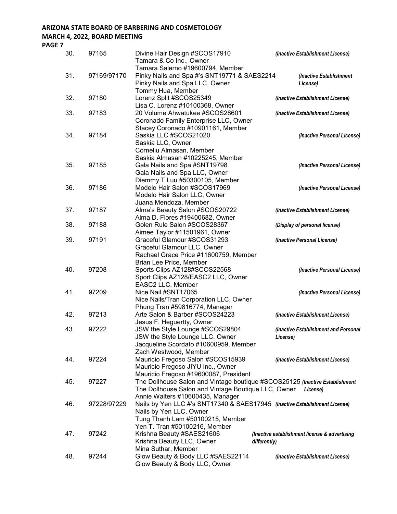| 30. | 97165       | Divine Hair Design #SCOS17910<br>Tamara & Co Inc., Owner                    | (Inactive Establishment License)              |
|-----|-------------|-----------------------------------------------------------------------------|-----------------------------------------------|
|     |             | Tamara Salerno #19600794, Member                                            |                                               |
| 31. | 97169/97170 | Pinky Nails and Spa #'s SNT19771 & SAES2214                                 | (Inactive Establishment                       |
|     |             | Pinky Nails and Spa LLC, Owner                                              | License)                                      |
|     |             | Tommy Hua, Member                                                           |                                               |
| 32. | 97180       | Lorenz Split #SCOS25349                                                     | (Inactive Establishment License)              |
|     |             | Lisa C. Lorenz #10100368, Owner                                             |                                               |
| 33. | 97183       | 20 Volume Ahwatukee #SCOS28601                                              | (Inactive Establishment License)              |
|     |             | Coronado Family Enterprise LLC, Owner                                       |                                               |
|     |             | Stacey Coronado #10901161, Member                                           |                                               |
| 34. | 97184       | Saskia LLC #SCOS21020                                                       | (Inactive Personal License)                   |
|     |             | Saskia LLC, Owner                                                           |                                               |
|     |             | Corneliu Almasan, Member                                                    |                                               |
|     |             | Saskia Almasan #10225245, Member                                            |                                               |
| 35. | 97185       | Gala Nails and Spa #SNT19798                                                | (Inactive Personal License)                   |
|     |             | Gala Nails and Spa LLC, Owner                                               |                                               |
|     |             | Diemmy T Luu #50300105, Member                                              |                                               |
| 36. | 97186       | Modelo Hair Salon #SCOS17969                                                | (Inactive Personal License)                   |
|     |             | Modelo Hair Salon LLC, Owner                                                |                                               |
|     |             | Juana Mendoza, Member                                                       |                                               |
| 37. | 97187       | Alma's Beauty Salon #SCOS20722                                              | (Inactive Establishment License)              |
|     |             | Alma D. Flores #19400682, Owner                                             |                                               |
| 38. | 97188       | Golen Rule Salon #SCOS28367                                                 | (Display of personal license)                 |
|     |             | Aimee Taylor #11501961, Owner                                               |                                               |
| 39. | 97191       | Graceful Glamour #SCOS31293                                                 | (Inactive Personal License)                   |
|     |             | Graceful Glamour LLC, Owner                                                 |                                               |
|     |             | Rachael Grace Price #11600759, Member                                       |                                               |
|     |             | Brian Lee Price, Member                                                     |                                               |
| 40. | 97208       | Sports Clips AZ128#SCOS22568                                                | (Inactive Personal License)                   |
|     |             | Sport Clips AZ128/EASC2 LLC, Owner                                          |                                               |
|     |             | EASC2 LLC, Member                                                           |                                               |
| 41. | 97209       | Nice Nail #SNT17065                                                         |                                               |
|     |             | Nice Nails/Tran Corporation LLC, Owner                                      | (Inactive Personal License)                   |
|     |             | Phung Tran #59816774, Manager                                               |                                               |
| 42. | 97213       | Arte Salon & Barber #SCOS24223                                              | (Inactive Establishment License)              |
|     |             | Jesus F. Heguertty, Owner                                                   |                                               |
| 43. | 97222       |                                                                             |                                               |
|     |             | JSW the Style Lounge #SCOS29804                                             | (Inactive Establishment and Personal          |
|     |             | JSW the Style Lounge LLC, Owner                                             | License)                                      |
|     |             | Jacqueline Scordato #10600959, Member                                       |                                               |
| 44. | 97224       | Zach Westwood, Member                                                       |                                               |
|     |             | Mauricio Fregoso Salon #SCOS15939                                           | (Inactive Establishment License)              |
|     |             | Mauricio Fregoso JIYU Inc., Owner                                           |                                               |
|     |             | Mauricio Fregoso #19600087, President                                       |                                               |
| 45. | 97227       | The Dollhouse Salon and Vintage boutique #SCOS25125 (Inactive Establishment |                                               |
|     |             | The Dollhouse Salon and Vintage Boutique LLC, Owner                         | License)                                      |
|     |             | Annie Walters #10600435, Manager                                            |                                               |
| 46. | 97228/97229 | Nails by Yen LLC #'s SNT17340 & SAES17945 (Inactive Establishment License)  |                                               |
|     |             | Nails by Yen LLC, Owner                                                     |                                               |
|     |             | Tung Thanh Lam #50100215, Member                                            |                                               |
|     |             | Yen T. Tran #50100216, Member                                               |                                               |
| 47. | 97242       | Krishna Beauty #SAES21606                                                   | (Inactive establishment license & advertising |
|     |             | Krishna Beauty LLC, Owner<br>differently)                                   |                                               |
|     |             | Mina Suthar, Member                                                         |                                               |
| 48. | 97244       | Glow Beauty & Body LLC #SAES22114                                           | (Inactive Establishment License)              |
|     |             | Glow Beauty & Body LLC, Owner                                               |                                               |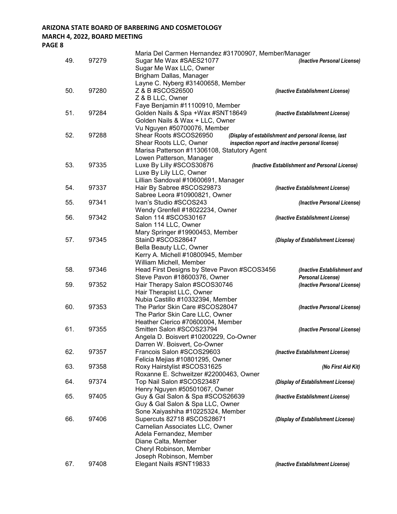|     |       | Maria Del Carmen Hernandez #31700907, Member/Manager |                                                      |
|-----|-------|------------------------------------------------------|------------------------------------------------------|
| 49. | 97279 | Sugar Me Wax #SAES21077                              | (Inactive Personal License)                          |
|     |       | Sugar Me Wax LLC, Owner                              |                                                      |
|     |       | Brigham Dallas, Manager                              |                                                      |
|     |       | Layne C. Nyberg #31400658, Member                    |                                                      |
| 50. | 97280 | Z & B #SCOS26500                                     | (Inactive Establishment License)                     |
|     |       | Z & B LLC, Owner                                     |                                                      |
|     |       | Faye Benjamin #11100910, Member                      |                                                      |
| 51. | 97284 | Golden Nails & Spa +Wax #SNT18649                    | (Inactive Establishment License)                     |
|     |       | Golden Nails & Wax + LLC, Owner                      |                                                      |
|     |       | Vu Nguyen #50700076, Member                          |                                                      |
| 52. | 97288 | Shear Roots #SCOS26950                               | (Display of establishment and personal license, last |
|     |       | Shear Roots LLC, Owner                               | inspection report and inactive personal license)     |
|     |       | Marisa Patterson #11306108, Statutory Agent          |                                                      |
|     |       | Lowen Patterson, Manager                             |                                                      |
| 53. | 97335 | Luxe By Lilly #SCOS30876                             | (Inactive Establishment and Personal License)        |
|     |       | Luxe By Lily LLC, Owner                              |                                                      |
|     |       | Lillian Sandoval #10600691, Manager                  |                                                      |
| 54. | 97337 | Hair By Sabree #SCOS29873                            | (Inactive Establishment License)                     |
|     |       | Sabree Leora #10900821, Owner                        |                                                      |
| 55. | 97341 | Ivan's Studio #SCOS243                               | (Inactive Personal License)                          |
|     |       | Wendy Grenfell #18022234, Owner                      |                                                      |
| 56. | 97342 | Salon 114 #SCOS30167                                 | (Inactive Establishment License)                     |
|     |       | Salon 114 LLC, Owner                                 |                                                      |
|     |       | Mary Springer #19900453, Member                      |                                                      |
| 57. | 97345 | StainD #SCOS28647                                    | (Display of Establishment License)                   |
|     |       | Bella Beauty LLC, Owner                              |                                                      |
|     |       | Kerry A. Michell #10800945, Member                   |                                                      |
|     |       | William Michell, Member                              |                                                      |
| 58. | 97346 | Head First Designs by Steve Pavon #SCOS3456          |                                                      |
|     |       |                                                      | (Inactive Establishment and                          |
|     |       | Steve Pavon #18600376, Owner                         | <b>Personal License)</b>                             |
| 59. | 97352 | Hair Therapy Salon #SCOS30746                        | (Inactive Personal License)                          |
|     |       | Hair Therapist LLC, Owner                            |                                                      |
|     |       | Nubia Castillo #10332394, Member                     |                                                      |
| 60. | 97353 | The Parlor Skin Care #SCOS28047                      | (Inactive Personal License)                          |
|     |       | The Parlor Skin Care LLC, Owner                      |                                                      |
|     |       | Heather Clerico #70600004, Member                    |                                                      |
| 61. | 97355 | Smitten Salon #SCOS23794                             | (Inactive Personal License)                          |
|     |       | Angela D. Boisvert #10200229, Co-Owner               |                                                      |
|     |       | Darren W. Boisvert, Co-Owner                         |                                                      |
| 62. | 97357 | Francois Salon #SCOS29603                            | (Inactive Establishment License)                     |
|     |       | Felicia Mejias #10801295, Owner                      |                                                      |
| 63. | 97358 | Roxy Hairstylist #SCOS31625                          | (No First Aid Kit)                                   |
|     |       | Roxanne E. Schweitzer #22000463, Owner               |                                                      |
| 64. | 97374 | Top Nail Salon #SCOS23487                            | (Display of Establishment License)                   |
|     |       | Henry Nguyen #50501067, Owner                        |                                                      |
| 65. | 97405 | Guy & Gal Salon & Spa #SCOS26639                     | (Inactive Establishment License)                     |
|     |       | Guy & Gal Salon & Spa LLC, Owner                     |                                                      |
|     |       | Sone Xaiyashiha #10225324, Member                    |                                                      |
| 66. | 97406 | Supercuts 82718 #SCOS28671                           | (Display of Establishment License)                   |
|     |       | Carnelian Associates LLC, Owner                      |                                                      |
|     |       | Adela Fernandez, Member                              |                                                      |
|     |       | Diane Calta, Member                                  |                                                      |
|     |       | Cheryl Robinson, Member                              |                                                      |
|     |       | Joseph Robinson, Member                              |                                                      |
| 67. | 97408 | Elegant Nails #SNT19833                              | (Inactive Establishment License)                     |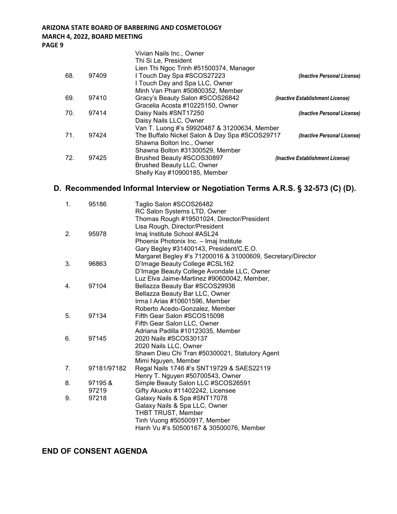|     |       | Vivian Nails Inc., Owner                                       |                                  |
|-----|-------|----------------------------------------------------------------|----------------------------------|
|     |       | Thi Si Le, President<br>Lien Thi Ngoc Trinh #51500374, Manager |                                  |
| 68. | 97409 | I Touch Day Spa #SCOS27223                                     | (Inactive Personal License)      |
|     |       | I Touch Day and Spa LLC, Owner                                 |                                  |
|     |       | Minh Van Pham #50800352, Member                                |                                  |
| 69. | 97410 | Gracy's Beauty Salon #SCOS26842                                | (Inactive Establishment License) |
|     |       | Gracelia Acosta #10225150, Owner                               |                                  |
| 70. | 97414 | Daisy Nails #SNT17250                                          | (Inactive Personal License)      |
|     |       | Daisy Nails LLC, Owner                                         |                                  |
|     |       | Van T. Luong #'s 59920487 & 31200634, Member                   |                                  |
| 71. | 97424 | The Buffalo Nickel Salon & Day Spa #SCOS29717                  | (Inactive Personal License)      |
|     |       | Shawna Bolton Inc., Owner                                      |                                  |
|     |       | Shawna Bolton #31300529, Member                                |                                  |
| 72. | 97425 | Brushed Beauty #SCOS30897                                      | (Inactive Establishment License) |
|     |       | <b>Brushed Beauty LLC, Owner</b>                               |                                  |
|     |       | Shelly Kay #10900185, Member                                   |                                  |

# **D. Recommended Informal Interview or Negotiation Terms A.R.S. § 32-573 (C) (D).**

| 1. | 95186       | Taglio Salon #SCOS26482                                     |
|----|-------------|-------------------------------------------------------------|
|    |             | RC Salon Systems LTD, Owner                                 |
|    |             | Thomas Rough #19501024, Director/President                  |
|    |             | Lisa Rough, Director/President                              |
| 2. | 95978       | Imaj Institute School #ASL24                                |
|    |             | Phoenix Photonix Inc. - Imaj Institute                      |
|    |             | Gary Begley #31400143, President/C.E.O.                     |
|    |             | Margaret Begley #'s 71200016 & 31000609, Secretary/Director |
| 3. | 96863       | D'Image Beauty College #CSL162                              |
|    |             | D'Image Beauty College Avondale LLC, Owner                  |
|    |             | Luz Elva Jaime-Martinez #90600042, Member,                  |
| 4. | 97104       | Bellazza Beauty Bar #SCOS29936                              |
|    |             | Bellazza Beauty Bar LLC, Owner                              |
|    |             | Irma I Arias #10601596, Member                              |
|    |             | Roberto Acedo-Gonzalez, Member                              |
| 5. | 97134       | Fifth Gear Salon #SCOS15098                                 |
|    |             | Fifth Gear Salon LLC, Owner                                 |
|    |             | Adriana Padilla #10123035, Member                           |
| 6. | 97145       | 2020 Nails #SCOS30137                                       |
|    |             | 2020 Nails LLC, Owner                                       |
|    |             | Shawn Dieu Chi Tran #50300021, Statutory Agent              |
|    |             | Mimi Nguyen, Member                                         |
| 7. | 97181/97182 | Regal Nails 1746 #'s SNT19729 & SAES22119                   |
|    |             | Henry T. Nguyen #50700543, Owner                            |
| 8. | 97195&      | Simple Beauty Salon LLC #SCOS26591                          |
|    | 97219       | Gifty Akuoko #11402242, Licensee                            |
| 9. | 97218       | Galaxy Nails & Spa #SNT17078                                |
|    |             | Galaxy Nails & Spa LLC, Owner                               |
|    |             | THBT TRUST, Member                                          |
|    |             | Tinh Vuong #50500917, Member                                |
|    |             | Hanh Vu #'s 50500167 & 30500076, Member                     |
|    |             |                                                             |

**END OF CONSENT AGENDA**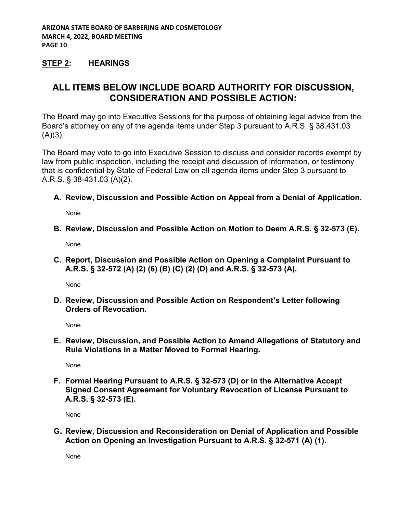## **STEP 2: HEARINGS**

# **ALL ITEMS BELOW INCLUDE BOARD AUTHORITY FOR DISCUSSION, CONSIDERATION AND POSSIBLE ACTION:**

The Board may go into Executive Sessions for the purpose of obtaining legal advice from the Board's attorney on any of the agenda items under Step 3 pursuant to A.R.S. § 38.431.03  $(A)(3)$ .

The Board may vote to go into Executive Session to discuss and consider records exempt by law from public inspection, including the receipt and discussion of information, or testimony that is confidential by State of Federal Law on all agenda items under Step 3 pursuant to A.R.S. § 38-431.03 (A)(2).

#### **A. Review, Discussion and Possible Action on Appeal from a Denial of Application.**

None

#### **B. Review, Discussion and Possible Action on Motion to Deem A.R.S. § 32-573 (E).**

None

**C. Report, Discussion and Possible Action on Opening a Complaint Pursuant to A.R.S. § 32-572 (A) (2) (6) (B) (C) (2) (D) and A.R.S. § 32-573 (A).**

None

**D. Review, Discussion and Possible Action on Respondent's Letter following Orders of Revocation.**

None

**E. Review, Discussion, and Possible Action to Amend Allegations of Statutory and Rule Violations in a Matter Moved to Formal Hearing.**

None

**F. Formal Hearing Pursuant to A.R.S. § 32-573 (D) or in the Alternative Accept Signed Consent Agreement for Voluntary Revocation of License Pursuant to A.R.S. § 32-573 (E).**

None

**G. Review, Discussion and Reconsideration on Denial of Application and Possible Action on Opening an Investigation Pursuant to A.R.S. § 32-571 (A) (1).**

None